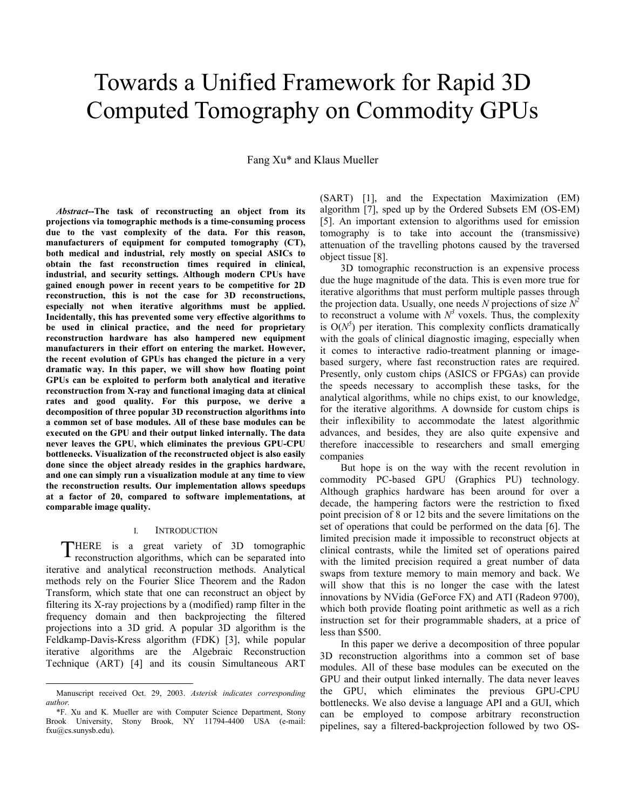# Towards a Unified Framework for Rapid 3D Computed Tomography on Commodity GPUs

Fang Xu\* and Klaus Mueller

*Abstract***--The task of reconstructing an object from its projections via tomographic methods is a time-consuming process due to the vast complexity of the data. For this reason, manufacturers of equipment for computed tomography (CT), both medical and industrial, rely mostly on special ASICs to obtain the fast reconstruction times required in clinical, industrial, and security settings. Although modern CPUs have gained enough power in recent years to be competitive for 2D reconstruction, this is not the case for 3D reconstructions, especially not when iterative algorithms must be applied. Incidentally, this has prevented some very effective algorithms to be used in clinical practice, and the need for proprietary reconstruction hardware has also hampered new equipment manufacturers in their effort on entering the market. However, the recent evolution of GPUs has changed the picture in a very dramatic way. In this paper, we will show how floating point GPUs can be exploited to perform both analytical and iterative reconstruction from X-ray and functional imaging data at clinical rates and good quality. For this purpose, we derive a decomposition of three popular 3D reconstruction algorithms into a common set of base modules. All of these base modules can be executed on the GPU and their output linked internally. The data never leaves the GPU, which eliminates the previous GPU-CPU bottlenecks. Visualization of the reconstructed object is also easily done since the object already resides in the graphics hardware, and one can simply run a visualization module at any time to view the reconstruction results. Our implementation allows speedups at a factor of 20, compared to software implementations, at comparable image quality.** 

## I. INTRODUCTION

HERE is a great variety of 3D tomographic THERE is a great variety of 3D tomographic<br>reconstruction algorithms, which can be separated into iterative and analytical reconstruction methods. Analytical methods rely on the Fourier Slice Theorem and the Radon Transform, which state that one can reconstruct an object by filtering its X-ray projections by a (modified) ramp filter in the frequency domain and then backprojecting the filtered projections into a 3D grid. A popular 3D algorithm is the Feldkamp-Davis-Kress algorithm (FDK) [3], while popular iterative algorithms are the Algebraic Reconstruction Technique (ART) [4] and its cousin Simultaneous ART

(SART) [1], and the Expectation Maximization (EM) algorithm [7], sped up by the Ordered Subsets EM (OS-EM) [5]. An important extension to algorithms used for emission tomography is to take into account the (transmissive) attenuation of the travelling photons caused by the traversed object tissue [8].

3D tomographic reconstruction is an expensive process due the huge magnitude of the data. This is even more true for iterative algorithms that must perform multiple passes through the projection data. Usually, one needs *N* projections of size  $N^2$ to reconstruct a volume with  $N^3$  voxels. Thus, the complexity is  $O(N^5)$  per iteration. This complexity conflicts dramatically with the goals of clinical diagnostic imaging, especially when it comes to interactive radio-treatment planning or imagebased surgery, where fast reconstruction rates are required. Presently, only custom chips (ASICS or FPGAs) can provide the speeds necessary to accomplish these tasks, for the analytical algorithms, while no chips exist, to our knowledge, for the iterative algorithms. A downside for custom chips is their inflexibility to accommodate the latest algorithmic advances, and besides, they are also quite expensive and therefore inaccessible to researchers and small emerging companies

But hope is on the way with the recent revolution in commodity PC-based GPU (Graphics PU) technology. Although graphics hardware has been around for over a decade, the hampering factors were the restriction to fixed point precision of 8 or 12 bits and the severe limitations on the set of operations that could be performed on the data [6]. The limited precision made it impossible to reconstruct objects at clinical contrasts, while the limited set of operations paired with the limited precision required a great number of data swaps from texture memory to main memory and back. We will show that this is no longer the case with the latest innovations by NVidia (GeForce FX) and ATI (Radeon 9700), which both provide floating point arithmetic as well as a rich instruction set for their programmable shaders, at a price of less than \$500.

In this paper we derive a decomposition of three popular 3D reconstruction algorithms into a common set of base modules. All of these base modules can be executed on the GPU and their output linked internally. The data never leaves the GPU, which eliminates the previous GPU-CPU bottlenecks. We also devise a language API and a GUI, which can be employed to compose arbitrary reconstruction pipelines, say a filtered-backprojection followed by two OS-

Manuscript received Oct. 29, 2003. *Asterisk indicates corresponding author.*

<sup>\*</sup>F. Xu and K. Mueller are with Computer Science Department, Stony Brook University, Stony Brook, NY 11794-4400 USA (e-mail: fxu@cs.sunysb.edu).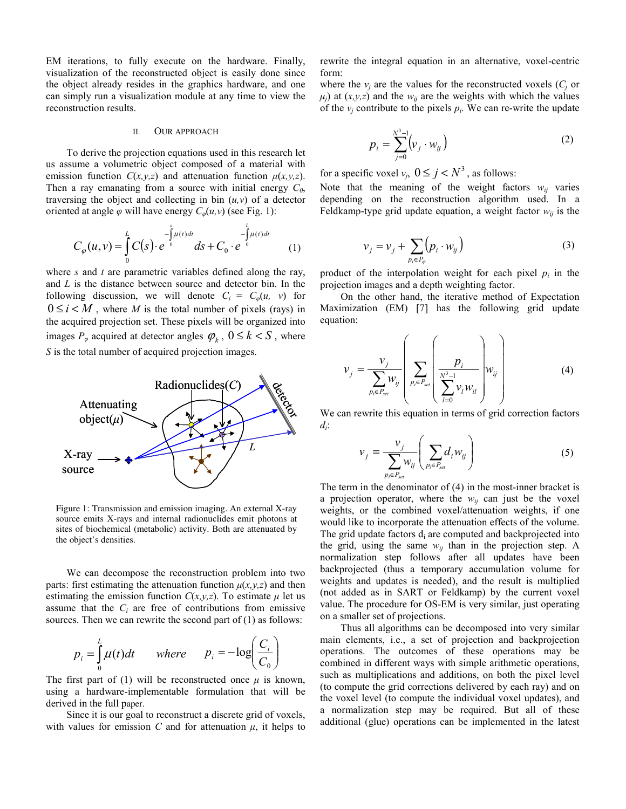EM iterations, to fully execute on the hardware. Finally, visualization of the reconstructed object is easily done since the object already resides in the graphics hardware, and one can simply run a visualization module at any time to view the reconstruction results.

#### II. OUR APPROACH

To derive the projection equations used in this research let us assume a volumetric object composed of a material with emission function  $C(x, y, z)$  and attenuation function  $\mu(x, y, z)$ . Then a ray emanating from a source with initial energy  $C_0$ , traversing the object and collecting in bin (*u,v*) of a detector oriented at angle  $\varphi$  will have energy  $C_{\varphi}(u,v)$  (see Fig. 1):

$$
C_{\varphi}(u,v) = \int_{0}^{L} C(s) \cdot e^{-\int_{0}^{s} \mu(t)dt} ds + C_0 \cdot e^{-\int_{0}^{L} \mu(t)dt}
$$
 (1)

where *s* and *t* are parametric variables defined along the ray, and *L* is the distance between source and detector bin. In the following discussion, we will denote  $C_i = C_\varphi(u, v)$  for  $0 \leq i \leq M$ , where *M* is the total number of pixels (rays) in the acquired projection set. These pixels will be organized into images  $P_{\varphi}$  acquired at detector angles  $\varphi_k$ ,  $0 \leq k < S$ , where *S* is the total number of acquired projection images.



Figure 1: Transmission and emission imaging. An external X-ray source emits X-rays and internal radionuclides emit photons at sites of biochemical (metabolic) activity. Both are attenuated by the object's densities.

We can decompose the reconstruction problem into two parts: first estimating the attenuation function  $\mu(x, y, z)$  and then estimating the emission function  $C(x, y, z)$ . To estimate  $\mu$  let us assume that the  $C_i$  are free of contributions from emissive sources. Then we can rewrite the second part of (1) as follows:

$$
p_i = \int_0^L \mu(t)dt \quad \text{where} \quad p_i = -\log\left(\frac{C_i}{C_0}\right)
$$

The first part of (1) will be reconstructed once  $\mu$  is known, using a hardware-implementable formulation that will be derived in the full paper.

Since it is our goal to reconstruct a discrete grid of voxels, with values for emission  $C$  and for attenuation  $\mu$ , it helps to rewrite the integral equation in an alternative, voxel-centric form:

where the  $v_j$  are the values for the reconstructed voxels  $(C_j)$  or  $\mu_i$ ) at  $(x,y,z)$  and the  $w_{ij}$  are the weights with which the values of the  $v_i$  contribute to the pixels  $p_i$ . We can re-write the update

$$
p_i = \sum_{j=0}^{N^3 - 1} (v_j \cdot w_{ij})
$$
 (2)

for a specific voxel  $v_i$ ,  $0 \le j \le N^3$ , as follows:

Note that the meaning of the weight factors  $w_{ii}$  varies depending on the reconstruction algorithm used. In a Feldkamp-type grid update equation, a weight factor  $w_{ij}$  is the

$$
v_j = v_j + \sum_{p_i \in P_{\varphi}} \left( p_i \cdot w_{ij} \right) \tag{3}
$$

product of the interpolation weight for each pixel  $p_i$  in the projection images and a depth weighting factor.

 On the other hand, the iterative method of Expectation Maximization (EM) [7] has the following grid update equation:

$$
v_{j} = \frac{v_{j}}{\sum_{p_{i} \in P_{set}} w_{ij}} \left( \sum_{p_{i} \in P_{set}} \left( \frac{p_{i}}{\sum_{l=0}^{N^{3}-1} v_{l} w_{il}} \right) w_{ij} \right)
$$
(4)

We can rewrite this equation in terms of grid correction factors *di*:

$$
v_j = \frac{v_j}{\sum_{p_i \in P_{set}} w_{ij}} \left( \sum_{p_i \in P_{set}} d_i w_{ij} \right)
$$
 (5)

The term in the denominator of (4) in the most-inner bracket is a projection operator, where the  $w_{ij}$  can just be the voxel weights, or the combined voxel/attenuation weights, if one would like to incorporate the attenuation effects of the volume. The grid update factors  $d_i$  are computed and backprojected into the grid, using the same  $w_{ij}$  than in the projection step. A normalization step follows after all updates have been backprojected (thus a temporary accumulation volume for weights and updates is needed), and the result is multiplied (not added as in SART or Feldkamp) by the current voxel value. The procedure for OS-EM is very similar, just operating on a smaller set of projections.

 Thus all algorithms can be decomposed into very similar main elements, i.e., a set of projection and backprojection operations. The outcomes of these operations may be combined in different ways with simple arithmetic operations, such as multiplications and additions, on both the pixel level (to compute the grid corrections delivered by each ray) and on the voxel level (to compute the individual voxel updates), and a normalization step may be required. But all of these additional (glue) operations can be implemented in the latest